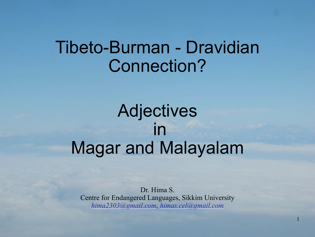# Tibeto-Burman - Dravidian Connection?

# Adjectives in Magar and Malayalam

Dr. Hima S. Centre for Endangered Languages, Sikkim University *hima2303@gmail.com, himas.cel@gmail.com*

1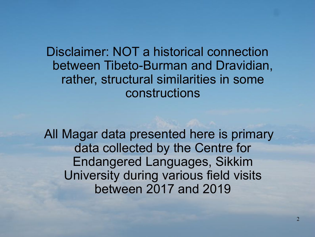Disclaimer: NOT a historical connection between Tibeto-Burman and Dravidian, rather, structural similarities in some constructions

 All Magar data presented here is primary data collected by the Centre for Endangered Languages, Sikkim University during various field visits between 2017 and 2019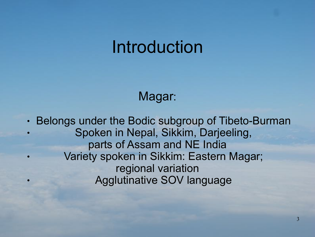# Introduction

#### Magar:

• Belongs under the Bodic subgroup of Tibeto-Burman Spoken in Nepal, Sikkim, Darjeeling, parts of Assam and NE India Variety spoken in Sikkim: Eastern Magar; regional variation Agglutinative SOV language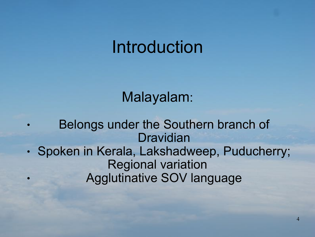# Introduction

### Malayalam:

Belongs under the Southern branch of Dravidian • Spoken in Kerala, Lakshadweep, Puducherry; Regional variation Agglutinative SOV language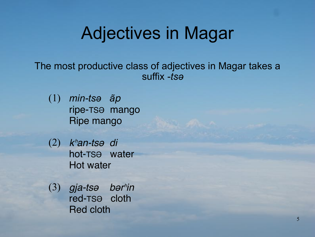# Adjectives in Magar

The most productive class of adjectives in Magar takes a suffix -*tsə*

- *min-tsə ãp* (1) ripe-TSƏ mango Ripe mango
- *k*ʰ*an-ts*ə *di* hot-TSƏ water Hot water (2)
- *gja-ts*ə *b*ə*r*ʰ*in* (3)red-TSƏ cloth Red cloth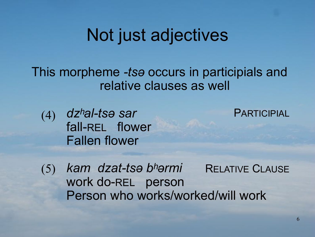# Not just adjectives

This morpheme *-tsə* occurs in participials and relative clauses as well

*dzʰal-tsə sar*  (4) fall-REL flower Fallen flower

PARTICIPIAL

*kam dzat-tsə bʰərmi*  work do-REL person Person who works/worked/will work RELATIVE CLAUSE (5)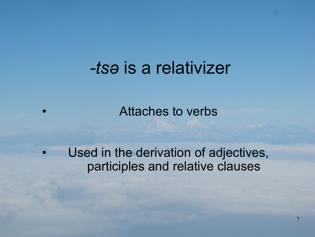# *-tsə* is a relativizer

• Attaches to verbs

Used in the derivation of adjectives, participles and relative clauses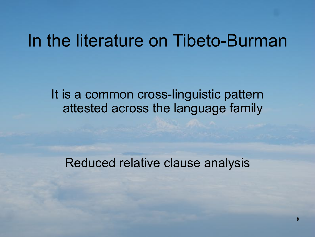## In the literature on Tibeto-Burman

It is a common cross-linguistic pattern attested across the language family

Reduced relative clause analysis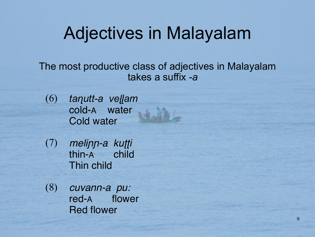# Adjectives in Malayalam

The most productive class of adjectives in Malayalam takes a suffix -*a* 

- *taɳutt-a veɭɭam* cold-A water Cold water (6)
- *meli*ɲɲ*-a ku*ʈʈ*i* thin-A child Thin child (7)
- *cuvann-a pu:* red-A flower Red flower (8)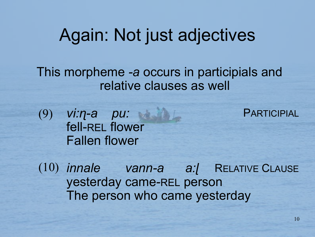## Again: Not just adjectives

This morpheme *-a* occurs in participials and relative clauses as well

*vi:ɳ-a pu:*  fell-REL flower Fallen flower (9)

**PARTICIPIAL** 

*innale vann-a a:ɭ* (10) yesterday came-REL person The person who came yesterday RELATIVE CLAUSE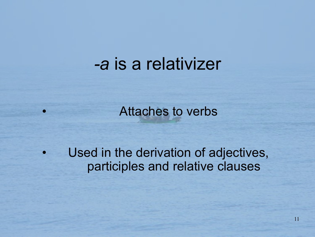### *-a* is a relativizer

Attaches to verbs

Used in the derivation of adjectives, participles and relative clauses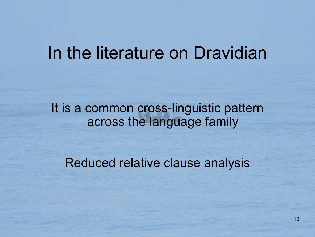## In the literature on Dravidian

#### It is a common cross-linguistic pattern across the language family

Reduced relative clause analysis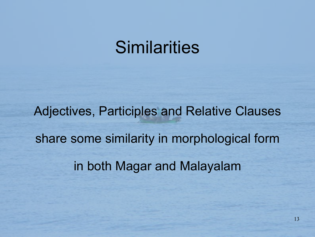# **Similarities**

Adjectives, Participles and Relative Clauses share some similarity in morphological form in both Magar and Malayalam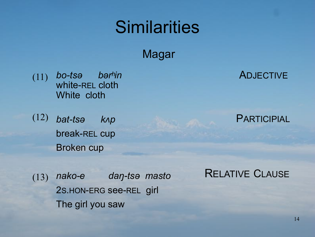# **Similarities**

Magar

*bo-tsə bərʰin*  white-REL cloth White cloth (11)

*bat-tsə kʌp*  break-REL cup Broken cup (12)

ADJECTIVE

**PARTICIPIAL** 

*nako-e daŋ-tsə masto*  2S.HON-ERG see-REL girl The girl you saw (13)

RELATIVE CLAUSE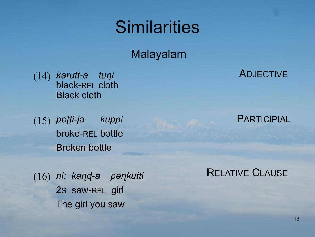# **Similarities**

Malayalam

*karutt-a tuɳi*  black-REL cloth Black cloth (14)

*poʈʈi-ja kuppi*  (15) broke-REL bottle Broken bottle

ADJECTIVE

#### **PARTICIPIAL**

*ni: kaɳɖ-a peɳkutti*  2S saw-REL girl The girl you saw (16)

RELATIVE CLAUSE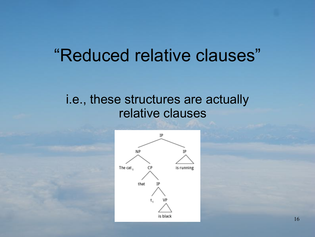# "Reduced relative clauses"

#### i.e., these structures are actually relative clauses

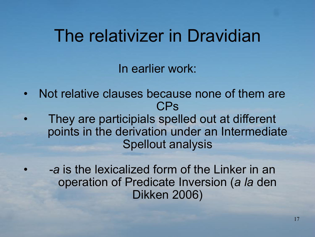# The relativizer in Dravidian

In earlier work:

- Not relative clauses because none of them are CPs
- They are participials spelled out at different points in the derivation under an Intermediate Spellout analysis
	- *• -a* is the lexicalized form of the Linker in an operation of Predicate Inversion (*a la* den Dikken 2006)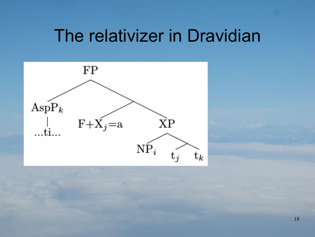# The relativizer in Dravidian

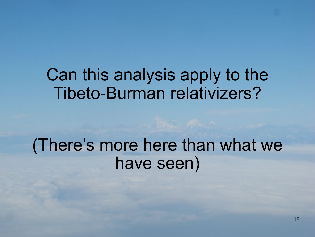# Can this analysis apply to the Tibeto-Burman relativizers?

# (There's more here than what we have seen)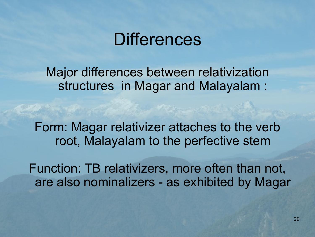## **Differences**

Major differences between relativization structures in Magar and Malayalam :

Form: Magar relativizer attaches to the verb root, Malayalam to the perfective stem

Function: TB relativizers, more often than not, are also nominalizers - as exhibited by Magar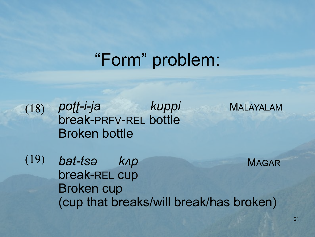# "Form" problem:

(18)

*poʈʈ-i-ja kuppi*  break-PRFV-REL bottle Broken bottle

MALAYALAM

(19)

*bat-tsə kʌp*  break-REL cup Broken cup (cup that breaks/will break/has broken) MAGAR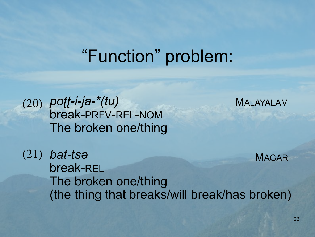## "Function" problem:



MALAYALAM

*bat-tsə* (21) break-REL The broken one/thing (the thing that breaks/will break/has broken) MAGAR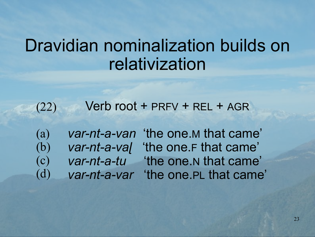# Dravidian nominalization builds on relativization

Verb root + PRFV + REL + AGR (22)

(a) (b) (c) (d)

*var-nt-a-van* 'the one.M that came' *var-nt-a-vaɭ* 'the one.F that came' *var-nt-a-tu* 'the one.N that came' *var-nt-a-var* 'the one.PL that came'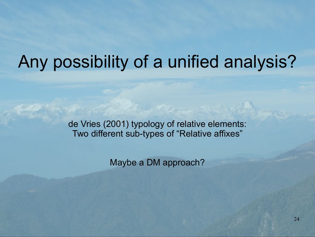# Any possibility of a unified analysis?

de Vries (2001) typology of relative elements: Two different sub-types of "Relative affixes"

Maybe a DM approach?